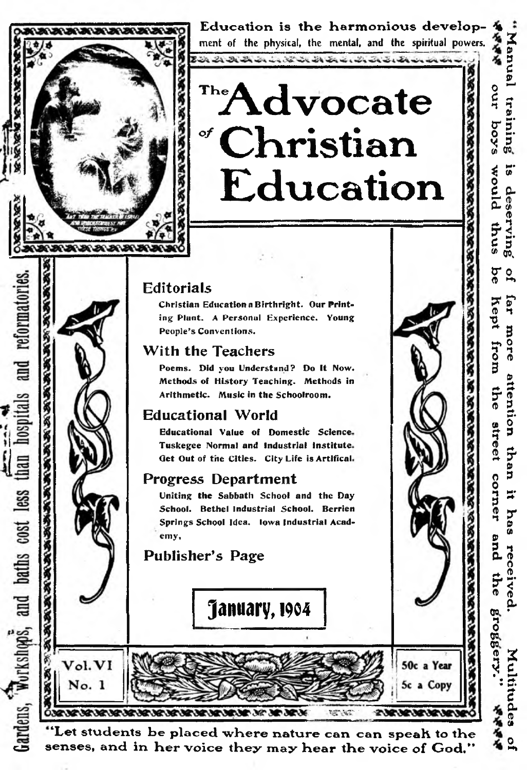

Gardens, Workshops, and baths cost less than hospitals and reformatories.

**BOOK POSTS POSTS POSTS POSTS PROPERTY** 

Vol. VI

No. 1

E d u ca tio n is tH e H arm on iou s d e v e lo p - 4» ment of the physical, the mental, and the spiritual powers.

# $\mathbf{r}^{\text{te}}$ **Advocate** *o f* **Christian Education**

## Editorials

**Christian Education a Birthright. Our Printing Plant. A Personal Experience. Young People's Conventions.**

#### With the Teachers

**Poems. Did you Understand? Do It Now. Methods of History Teaching. Methods in Arithmetic. Music in the Schoolroom.**

### Educational World

**Educational Value of Domestic Science Tuskegee Normal and industrial institute Get Out of the Cities. City Life is Artifical**

### Progress Department

**Uniting the Sabbath School and the Day School. Bethel Industrial School. Berrien Springs School Idea. Iowa Industrial Academy,**

## Publisher's Page



Ó BANA BANANA BANANA BANANA BANANA BANA BANA 98.39 21381381381381381381 "Let students be placed where nature can can speak to the senses, and in her voice they may hear the voice of God."

50c a Year

5c a Copy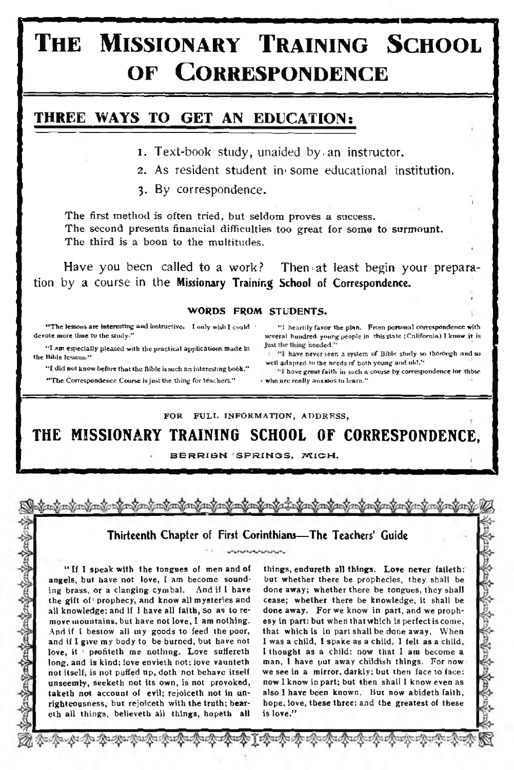## **T h e M is s io n a r y T r a in in g S c h o o l OF CORRESPONDENCE**

#### THREE WAYS TO GET AN EDUCATION:

- **1. Text-book study, unaided by.an instructor.**
- <sup>2</sup>**. As resident student in\* some educational institution.**
- <sup>3</sup>**. By correspondence.**

The first method is often tried, but seldom proves a success. The second presents financial difficulties too great for some to surmount. The third is a boon to the multitudes.

Have you been called to a work? Then at least begin your prepara**tion by a course in the** Missionary Training School of Correspondence.

#### **WORDS FROM STUDENTS.**

\*\*The lessons are interesting and instructive. I only wish I could \*\*\*\*\*\*\*\*\* I heartily favor the plan. From personal correspondence with devote more time to the study." several hundred voung people in this state (Californ

If am especially pleased with the practical applications made in the study is the thing inceded."<br>
the Bible lessons."<br>
"I have never seen a system of Bible study so thorough and so<br>
"I did not know before that the Bible

" T he Correspondence Course is just the thing for teachers." < who are really anxious to learn.\*'

several hundred young people in this state (California) I know it is

J

SEASEARE

#### FOR FULL INFORMATION, ADDRESS,

THE MISSIONARY TRAINING SCHOOL OF CORRESPONDENCE,

BERRIBN SPRINGS, MICH.

#### Thirteenth Chapter of First Corinthians— The Teachers' Guide noururur

" If 1 speak with the tongues of men and of angels, but have not love, I am become sounding brass, or a clanging cym bal. And if I have the gift of prophecy, and know all mysteries and all knowledge; and if I have all faith, so as to remove mountains, but have not love, I am nothing. And if I bestow all my goods to feed the poor, and if I give my body to be burned, but have not love, it 1 profiteth me nothing. Love suffereth long, and is kind; love envieth not; love vaunteth not itself, is not puffed up, doth not behave itself unseemly, seeketh not its own, is not provoked, taketh not account of evil; rejoiceth not in unrighteousness, but rejoiceth with the truth; beareth all things, believeth all things, hopeth all

an Tan Can Can Can Can Can Can Can Can

things, endureth all things. Love never faileth: but whether there be prophecies, they shall be done away; whether there be tongues, they shall cease; w hether there be knowledge, it shall be done away. For we know in part, and we prophesy in part: but when that which is perfect is come, that which is in part shall be done away. When <sup>1</sup> was a child, I spake as a child, 1 felt as a child, I thought as a child: now that 1 am become a man, I have put away childish things. For now we see in a mirror, darkly; but then face to face: now I know in part; but then shall I know even as also 1 have been known. But now abideth faith, hope, love, these three; and the greatest of these is love."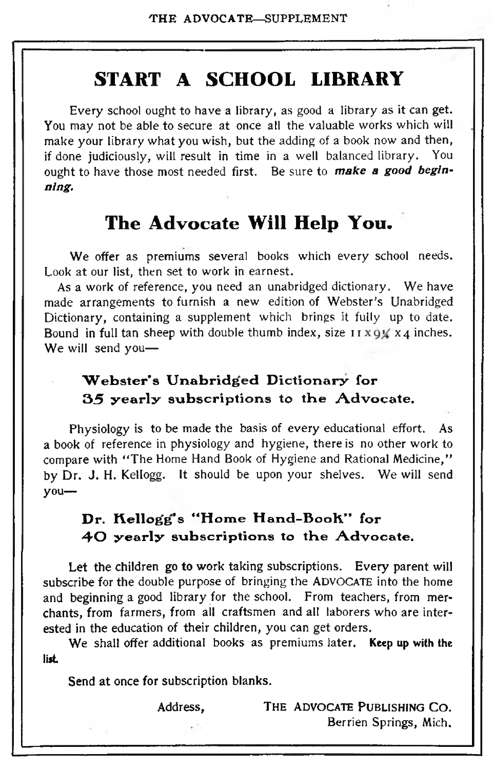## **START A SCHOOL LIBRARY**

**Every school ought to have a library, as good a library as it can get. You may not be able to secure at once all the valuable works which will make your library what you wish, but the adding of a book now and then, if done judiciously, will result in time in a well balanced library. You ought to have those most needed first. Be sure to** *make a good beginning.*

## **The Advocate Will Help You.**

**We offer as premiums several books which every school needs. Look at our list, then set to work in earnest.**

**As a work of reference, you need an unabridged dictionary. We have made arrangements to furnish a new edition of Webster's Unabridged Dictionary, containing a supplement which brings it fully up to date.** Bound in full tan sheep with double thumb index, size  $\frac{1}{x}$   $\frac{1}{y}$   $\frac{1}{x}$   $\frac{1}{y}$  inches. **We will send you—**

#### Webster's Unabridged Dictionary for 35 yearly subscriptions to the Advocate.

**Physiology is to be made the basis of every educational effort. As a book of reference in physiology and hygiene, there is no other work to compare with " The Home Hand Book of Hygiene and Rational Medicine," by Dr. J. H. Kellogg. It should be upon your shelves. We will send you—**

#### Dr. Kellogg's "Home Hand-Book" for 40 yearly subscriptions to the Advocate.

**Let the children go to work taking subscriptions. Every parent will subscribe for the double purpose of bringing the** ADVOCATE **into the home and beginning a good library for the school. From teachers, from merchants, from farmers, from ail craftsmen and all laborers who are interested in the education of their children, you can get orders.**

**We shall offer additional books as premiums later.** Keep up with the list

**Send at once for subscription blanks.**

**Address, The advocate Publishing Co . Berrien Springs, Mich.**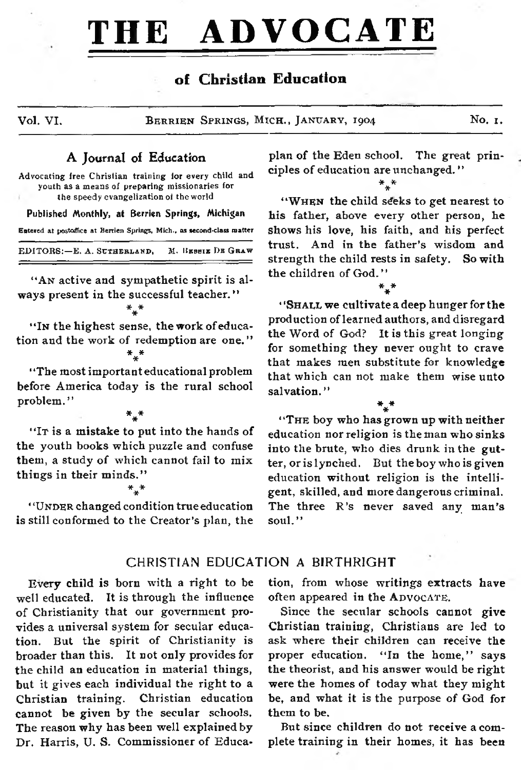## **THE ADVOCATE**

#### of Christian Education

**Vol. VI. BERRIEN SPRINGS, MICH., JANUARY, 1904 No. 1.** 

#### A Journal of Education

Advocating free Christian training for every child and youth as a means of preparing missionaries for the speedy evangelization oi the world

Published Monthly, at Berrien Springs, Michigan Entered at postoffice at Berrien Springs, Mich., as second-class matter  $EDITORS: E. A. SCTHERLAND. M. IBEBI **E**  $D<sub>B</sub>$  G **BA w**$ 

"An active and sympathetic spirit is al**ways present in the successful teacher."**  $*_{\star} *$ 

#### " In the highest sense, the **work** of education and the work of redemption are one. "  $^*$ \*

**\* 'The most important educational problem before America today is the rural school problem. ' '**

\* \* \*

"It is a mistake to put into the hands of the youth books which puzzle and confuse them, a study of which cannot fail to mix things in their minds."

#### \* \*\*

' 'Under **changed condition true education is still conformed to the Creator's plan, the**

#### CHRISTIAN EDUCATION A BIRTHRIGHT

**Every child is born with a right to be well educated. It is through the influence** of Christianity that our government pro**vides a universal system for secular education. But the spirit of Christianity is broader than this. It not only provides for the child an education in material things, but it gives each individual the right to a Christian training. Christian education cannot be given by the secular schools. The reason why has been well explained by Dr. Harris, U. S. Commissioner of Educa-** **plan of the Eden school. The great principles of education are unchanged. "**  $*$   $*$ 

"WHEN the child seeks to get nearest to **his father, above every other person, he shows his love, his faith, and his perfect trust. And in the father's wisdom and strength the child rests in safety. So with** the children of God."

\* \* \*

**\* 'Sh a ix we cultivate a deep hunger for the production of learned authors, and disregard the Word of God? It is this great longing for something they never ought to crave that makes men substitute for knowledge that which can not make them wise unto salvation. "**

 $*^{*}_{*}$ "THE boy who has grown up with neither **education nor religion is the man who sinks** into the brute, who dies drunk in the gut**ter, or is lynched. But the boy who is given education without religion is the intelligent, skilled, and more dangerous criminal. The three R 's never saved any man's soul."**

**tion, from whose writings extracts have** often appeared in the ADVOCATE.

**Since the secular schools cannot give Christian training, Christians are led to ask where their children can receive the proper education. " In the home," says the theorist, and his answer would be right were the homes of today what they might be, and what it is the purpose of God for them to be.**

**But since children do not receive a complete training in their homes, it has been**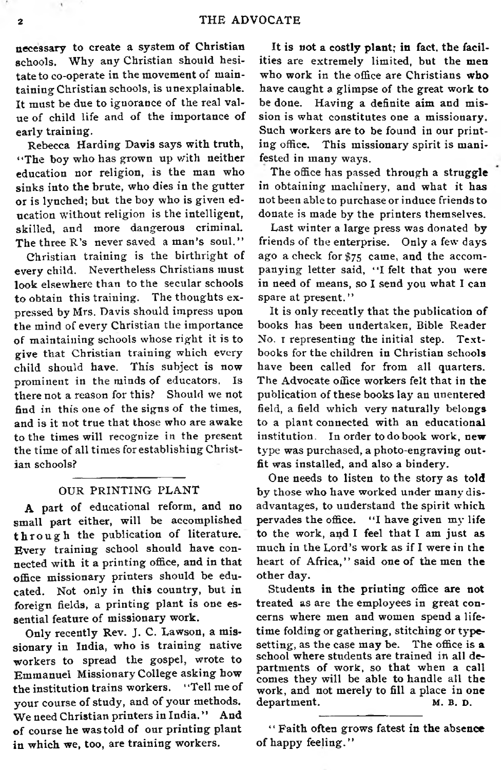necessary to create a system of Christian schools. Why any Christian should hesitate to co-operate in the movement of maintaining Christian schools, is unexplainable. It must be due to ignorance of the real value of child life and of the importance of early training.

Rebecca Harding Davis says with truth, "The boy who has grown up with neither education nor religion, is the man who sinks into the brute, who dies in the gutter or is lynched; but the boy who is given education without religion is the intelligent, skilled, and more dangerous criminal. The three R's never saved a man's soul."

Christian training is the birthright of every child. Nevertheless Christians must look elsewhere than to the secular schools to obtain this training. The thoughts expressed by Mrs. Davis should impress upon the mind of every Christian the importance of maintaining schools whose right it is to give that Christian training which every child should have. This subject is now prominent in the minds of educators. Is there not a reason for this? Should we not find in this one of the signs of the times, and is it not true that those who are awake to the times will recognize in the present the time of all times for establishing Christian schools?

#### OUR PRINTING PLANT

A part of educational reform, and no small part either, will be accomplished through the publication of literature. Every training school should have connected with it a printing office, and in that office missionary printers should be educated. Not only in this country, but in foreign fields, a printing plant is one essential feature of missionary work.

Only recently Rev. J. C. Lawson, a missionary in India, who is training native workers to spread the gospel, wrote to Emmanuel Missionary College asking how the institution trains workers. "Tell me of your course of study, and of your methods. We need Christian printers in India." And of course he was told of our printing plant in which we, too, are training workers.

It is not a costly plant; in fact, the facilities are extremely limited, but the men who work in the office are Christians who have caught a glimpse of the great work to be done. Having a definite aim and mission is what constitutes one a missionary. Such workers are to be found in our printing office. This missionary spirit is manifested in many ways.

The office has passed through a struggle in obtaining m achinery, and what it has not been able to purchase or induce friends to donate is made by the printers them selves.

Last winter a large press was donated by friends of the enterprise. Only a few days ago a check for \$75 came, and the accom panying letter said, "I felt that you were in need of means, so I send you what I can spare at present. "

It is only recently that the publication of books has been undertaken, Bible Reader No. I representing the initial step. Textbooks for the children in Christian schools have been called for from all quarters. The Advocate office workers felt that in the publication of these books lay an unentered field, a field which very naturally belongs to a plant connected with an educational institution. In order to do book work, new type was purchased, a photo-engraving outfit was installed, and also a bindery.

One needs to listen to the story as told by those who have worked under many disadvantages, to understand the spirit which pervades the office. "I have given my life to the work, and I feel that I am just as much in the Lord's work as if I were in the heart of Africa," said one of the men the other day.

Students in the printing office are not treated as are the employees in great concerns where men and women spend a lifetime folding or gathering, stitching or typesetting, as the case may be. The office is a school where students are trained in all departments of work, so that when a call comes they will be able to handle all the work, and not merely to fill a place in one department. M. B. D.

" Faith often grows fatest in the absence of happy feeling."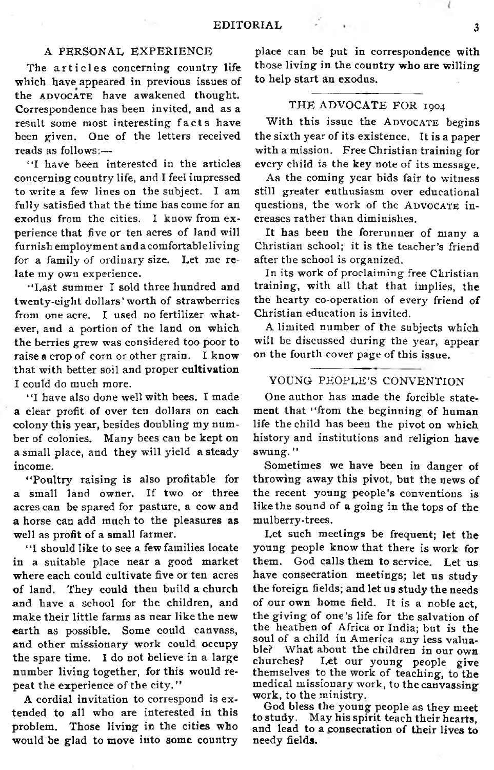#### A PERSONAL EXPERIENCE

The articles concerning country life w hich have appeared in previous issues of the ADVOCATE have awakened thought. Correspondence has been invited, and as a result some most interesting facts have been given. One of the letters received reads as follows:—

"I have been interested in the articles concerning country life, and I feel impressed to write a few lines on the subject. I am fully satisfied that the time has come for an exodus from the cities. I know from experience that five or ten acres of land will furnish employment and a comfortable living for a family of ordinary size. Let me relate my own experience.

"Last summer I sold three hundred and twenty-eight dollars' worth of strawberries from one acre. I used no fertilizer whatever, and a portion of the land on which the berries grew was considered too poor to raise a crop of corn or other grain. I know that with better soil and proper cultivation I could do much more.

"I have also done well with bees. I made a clear profit of over ten dollars on each colony this year, besides doubling my number of colonies. Many bees can be kept on a small place, and they will yield a steady income.

"Poultry raising is also profitable for a small land owner. If two or three acres can be spared for pasture, a cow and a horse can add much to the pleasures as well as profit of a small farmer.

"I should like to see a few families locate in a suitable place near a good market where each could cultivate five or ten acres of land. They could then build a church and have a school for the children, and m ake their little farms as near like the new earth as possible. Some could canvass, and other missionary work could occupy the spare time. I do not believe in a large number living together, for this would repeat the experience of the city."

A cordial invitation to correspond is extended to all who are interested in this problem. Those living in the cities who would be glad to move into some country

place can be put in correspondence with those living in the country who are willing to help start an exodus.

#### THE ADVOCATE FOR 1904

With this issue the ADVOCATE begins the sixth year of its existence. It is a paper with a mission. Free Christian training for every child is the key note of its message.

As the coming year bids fair to witness still greater enthusiasm over educational questions, the work of the ADVOCATE in**creases rather than diminishes.** 

It has been the forerunner of many a Christian school; it is the teacher's friend after the school is organized.

In its work of proclaiming free Christian training, with all that that implies, the the hearty co-operation of every friend of Christian education is invited.

A limited number of the subjects which will be discussed during the year, appear on the fourth cover page of this issue.

#### YOUNG PEOPLE'S CONVENTION

One author has made the forcible statement that "from the beginning of human life the child has been the pivot on which history and institutions and religion have swung."

Sometimes we have been in danger of throwing away this pivot, but the news of the recent young people's conventions is like the sound of a going in the tops of the mulberry-trees.

Let such meetings be frequent; let the young people know that there is work for them. God calls them to service. Let us have consecration meetings; let us study the foreign fields; and let us study the needs of our own home field. It is a noble act, the giving of one's life for the salvation of the heathen of Africa or India; but is the soul of a child in America any less valuable? What about the children in our own<br>churches? Let our young people give Let our young people give themselves to the work of teaching, to the medical missionary work, to the canvassing work, to the ministry.

God bless the young people as they meet to study. May his spirit teach their hearts, and lead to a consecration of their lives to needy fields.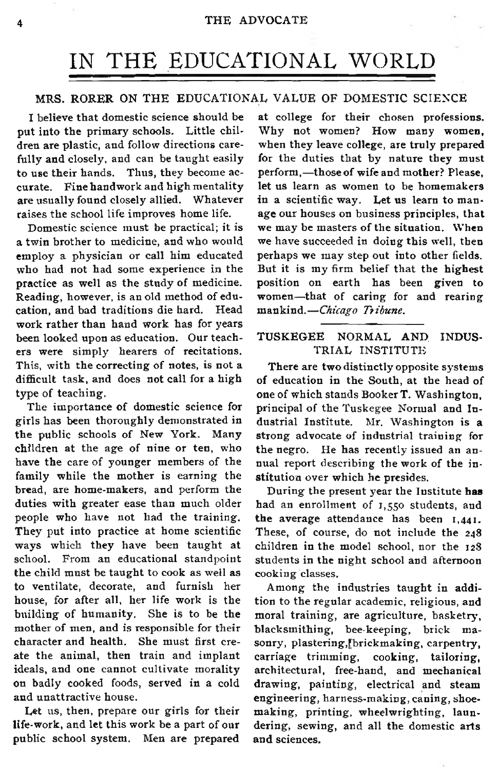## IN THE EDUCATIONAL WORLD

#### MRS. RORER ON THE EDUCATIONAL VALUE OF DOMESTIC SCIENCE

I believe that domestic science should be put into the primary schools. Little children are plastic, and follow directions carefully and closely, and can be taught easily to use their hands. Thus, they become accurate. Fine handwork and high mentality are usually found closely allied. Whatever raises the school life improves home life.

Domestic science must be practical; it is a twin brother to medicine, and who would em ploy a physician or call him educated who had not had some experience in the practice as well as the study of medicine. Reading, however, is an old method of education, and bad traditions die hard. Head work rather than hand work has for years been looked upon as education. Our teachers were simply hearers of recitations. This, with the correcting of notes, is not a difficult task, and does not call for a high type of teaching.

The importance of domestic science for girls has been thoroughly demonstrated in the public schools of New York. Many children at the age of nine or ten, who have the care of younger members of the family while the mother is earning the bread, are home-makers, and perform the duties with greater ease than much older people who have not had the training. They put into practice at home scientific ways which they have been taught at school. From an educational standpoint the child must be taught to cook as well as to ventilate, decorate, and furnish her house, for after all, her life work is the building of humanity. She is to be the mother of men, and is responsible for their character and health. She must first create the animal, then train and implant ideals, and one cannot cultivate morality on badly cooked foods, served in a cold and unattractive house.

Let us, then, prepare our girls for their life-work, and let this work be a part of our public school system. Men are prepared

at college for their chosen professions. Why not women? How many women, when they leave college, are truly prepared for the duties that by nature they must perform,-those of wife and mother? Please, let us learn as women to be homemakers in a scientific way. Let us learn to manage our houses on business principles, that we may be masters of the situation. When we have succeeded in doing this well, then perhaps we may step out into other fields. But it is my firm belief that the highest position on earth has been given to women—that of caring for and rearing m ankind*.— Chicago Tribune.*

#### TUSKEGEE NORMAL AND INDUS-TRIAL INSTITUTE

There are two distinctly opposite systems **of** education in the South, at the head **of** one of which stands Booker T. Washington, principal of the Tuskegee Normal and Industrial Institute. Mr. Washington is a strong advocate of industrial training for the negro. He has recently issued an an nual report describing the work of the institution over which he presides.

During the present year the Institute has had an enrollment of 1,550 students, and the average attendance has been 1,441. These, of course, do not include the 248 children in the model school, nor the 128 students in the night school and afternoon cooking classes.

Among the industries taught in addition to the regular academic, religious, and moral training, are agriculture, basketry, blacksmithing, bee-keeping, brick masonry, plastering,[brickmaking, carpentry, carriage trimming, cooking, tailoring, architectural, free-hand, and mechanical drawing, painting, electrical and steam engineering, harness-making, caning, shoemaking, printing, wheelwrighting, laundering, sew ing, and all the domestic arts and sciences.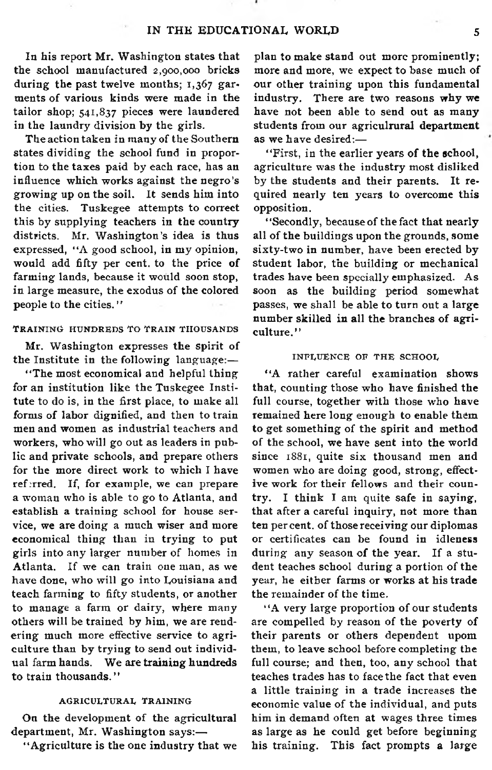In his report Mr. Washington states that the school manufactured 2,900,000 bricks during the past twelve months:  $1,367$  garments of various kinds were made in the tailor shop; 541,837 pieces were laundered in the laundry division by the girls.

The action taken in many of the Southern states dividing the school fund in proportion to the taxes paid by each race, has an influence which works against the negro's growing up on the soil. It sends him into the cities. Tuskegee attempts to correct this by supplying teachers in the country districts. Mr. Washington's idea is thus expressed, " $A$  good school, in my opinion, would add fifty per cent, to the price of farming lands, because it would soon stop. in large measure, the exodus of the colored people to the cities. "

#### TRAINING HUNDREDS TO TRAIN THOUSANDS

Mr. Washington expresses the spirit of the Institute in the following language:-

"The most economical and helpful thing for an institution like the Tuskegee Institute to do is, in the first place, to make all forms of labor dignified, and then to train men and women as industrial teachers and workers, who will go out as leaders in public and private schools, and prepare others for the more direct work to which I have ref:rred. If, for example, we can prepare a woman who is able to go to Atlanta, and establish a training school for house service, we are doing a much wiser and more economical thing than in trying to put girls into any larger number of homes in Atlanta. If we can train one man, as we have done, who will go into Louisiana and teach farming to fifty students, or another to manage a farm or dairy, where many others will be trained by him, we are rendering much more effective service to agriculture than by trying to send out individual farm hands. We are training hundreds to train thousands."

#### A G R I CULTURAL TRAINING

On the development of the agricultural department, Mr. Washington says:-

"Agriculture is the one industry that we

plan to make stand out more prominently; more and more, we expect to base much of our other training upon this fundamental industry. There are two reasons why we have not been able to send out as many students from our agriculrural department as we have desired:-

"First, in the earlier years of the school, agriculture was the industry most disliked by the students and their parents. It required nearly ten years to overcome this opposition.

"Secondly, because of the fact that nearly all of the buildings upon the grounds, some sixty-two in number, have been erected by student labor, the building or mechanical trades have been specially emphasized. As soon as the building period somewhat passes, we shall be able to turn out a large number skilled in all the branches of agriculture."

#### INFLUENCE OF THE SCHOOL

"A rather careful examination shows that, counting those who have finished the full course, together with those who have remained here long enough to enable them to get something of the spirit and method of the school, we have sent into the world since 1881, quite six thousand men and women who are doing good, strong, effective work for their fellows and their country. I think I am quite safe in saying, that after a careful inquiry, not more than ten per cent, of those receiving our diplomas or certificates can be found in idleness during any season of the year. If a student teaches school during a portion of the year, he either farms or works at his trade the remainder of the time.

"A very large proportion of our students are compelled by reason of the poverty of their parents or others dependent upom them, to leave school before completing the full course; and then, too, any school that teaches trades has to face the fact that even a little training in a trade increases the economic value of the individual, and puts him in demand often at wages three times as large as he could get before beginning his training. This fact prompts a large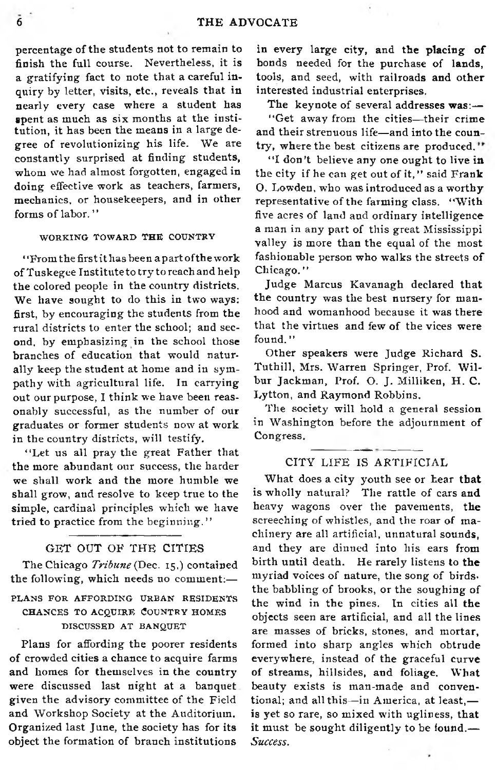percentage of the students not to remain to finish the full course. Nevertheless, it is a gratifying fact to note that a careful inquiry by letter, visits, etc., reveals that in nearly every case where a student has spent as much as six months at the institution, it has been the means in a large degree of revolutionizing his life. We are constantly surprised at finding students, whom we had almost forgotten, engaged in doing effective work as teachers, farmers, mechanics, or housekeepers, and in other forms of labor."

#### WORKING TOWARD THE COUNTRY

' 'From the first it has been a part of the work of Tuskegee Institute to try to reach and help the colored people in the country districts. We have sought to do this in two ways: first, by encouraging the students from the rural districts to enter the school; and second, by emphasizing in the school those branches of education that would naturally keep the student at home and in sympathy with agricultural life. In carrying out our purpose. I think we have been reasonably successful, as the number of our graduates or former students now at work in the country districts, will testify.

"Let us all pray the great Father that the more abundant our success, the harder we shall work and the more humble we shall grow, and resolve to keep true to the simple, cardinal principles which we have tried to practice from the beginning."

#### GET OUT OF THE CITIES

The Chicago *Tribune* (Dec. 15,) contained the following, which needs no comment:-PLANS FOR AFFORDING URBAN RESIDENTS CHANCES TO ACQUIRE COUNTRY HOMES DISCUSSED AT BANQUET

Plans for affording the poorer residents of crowded cities a chance to acquire farms and homes for themselves in the country were discussed last night at a banquet given the advisory committee of the Field and Workshop Society at the Auditorium. Organized last June, the society has for its object the formation of branch institutions

in every large city, and the placing of bonds needed for the purchase of lands, tools, and seed, with railroads and other interested industrial enterprises.

The keynote of several addresses  $was:$ 

"Get away from the cities-their crime and their strenuous life— and into the country, where the best citizens are produced."

"I don't believe any one ought to live in the city if he can get out of it," said Frank O. Lowden, who was introduced as a worthy representative of the farming class. "With five acres of land and ordinary intelligence a man in any part of this great Mississippi valley is more than the equal of the most fashionable person who walks the streets of Chicago."

Judge Marcus Kavanagh declared that the country was the best nursery for manhood and womanhood because it was there that the virtues and few of the vices were found. "

Other speakers were Judge Richard S. Tuthill, Mrs. Warren Springer, Prof. Wilbur Jackman, Prof. O. J. Milliken, H. C. Lytton, and Raymond Robbins.

The society will hold a general session in Washington before the adjournment of Congress.

#### CITY LIFE IS ARTIFICIAL

What does a city youth see or hear that is wholly natural? The rattle of cars and heavy wagons over the pavements, the screeching of whistles, and the roar of machinery are all artificial, unnatural sounds, and they are dinned into his ears from birth until death. He rarely listens to **the** myriad voices of nature, the song of birds. the babbling of brooks, or the soughing of the wind in the pines. In cities all **the** objects seen are artificial, and all the lines are masses of bricks, stones, and mortar, formed into sharp angles which obtrude everywhere, instead of the graceful curve of streams, hillsides, and foliage. What beauty exists is man-made and conventional; and all this—in America, at least, is yet so rare, so mixed with ugliness, that it must be sought diligently to be **found.**— *Success.*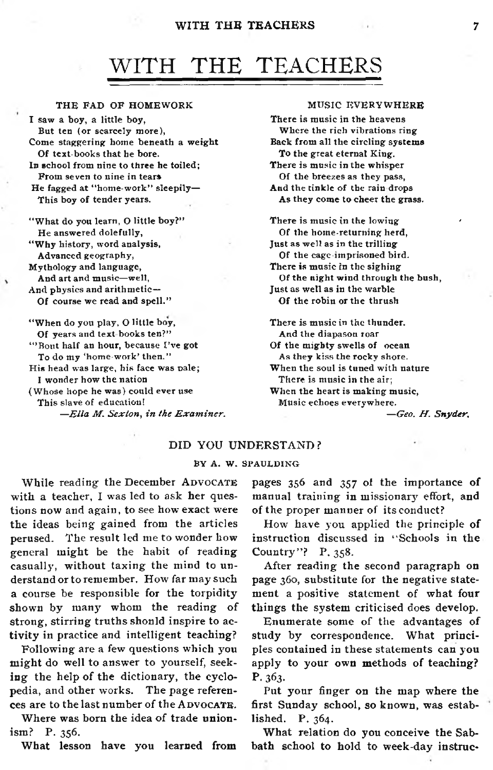#### WITH THE TEACHERS

## WITH THE TEACHERS

#### THE FAD OF HOMEWORK

I saw a boy, a little boy, But ten (or scarcely more), Come staggering home beneath a weight Of text-books that he bore. In school from nine to three he toiled; From seven to nine in tears He fagged at "home-work" sleepily-This boy of tender years. "What do you learn, O little boy?"

He answered dolefully, "Why history, word analysis, Advanced geography,

Mythology and language, And art and music-well, And physics and arithmetic-

Of course we read and spell."

"When do you play, O little boy, Of years and text-books ten?" "Bout half an hour, because I've got To do my 'home-work' then." His head was large, his face was pale; I wonder how the nation (Whose hope he was) could ever use This slave of education!  $-E$ lla M. Sexton, in the Examiner.

#### MUSIC EVERYWHERE

There is music in the heavens Where the rich vibrations ring Back from all the circling systems To the great eternal King. There is music in the whisper Of the breezes as they pass, And the tinkle of the rain drops As they come to cheer the grass. There is music in the lowing Of the home-returning herd,

Just as well as in the trilling Of the cage-imprisoned bird. There is music in the sighing Of the night wind through the bush, Just as well as in the warble Of the robin or the thrush

There is music in the thunder. And the diapason roar Of the mighty swells of ocean As they kiss the rocky shore. When the soul is tuned with nature There is music in the air; When the heart is making music, Music echoes everywhere.

— *Geo. H . Snyder.*

#### DID YOU UNDERSTAND?

#### BY A. W. SPAULDING

While reading the December ADVOCATE with a teacher, I was led to ask her questions now and again, to see how exact were the ideas being gained from the articles perused. The result led me to wonder how general m ight be the habit of reading casually, without taxing the mind to understand or to remember. How far may such a course be responsible for the torpidity shown by many whom the reading of strong, stirring truths shonld inspire to activity in practice and intelligent teaching?

Following are a few questions which you might do well to answer to yourself, seeking the help of the dictionary, the cyclopedia, and other works. The page references are to the last number of the ADVOCATE.

Where was born the idea of trade unionism? P. 356.

What lesson have you learned from

pages 356 and 357 of the importance of manual training in missionary effort, and of the proper manner of its conduct?

How have you applied the principle of instruction discussed in "Schools in the Country"? P. 358.

After reading the second paragraph on page 360, substitute for the negative statement a positive statement of what four things the system criticised does develop.

Enumerate some of the advantages of study by correspondence. What principles contained in these statements can you apply to your own methods of teaching? P. 363.

Put your finger on the map where the first Sunday school, so known, was established. P. 364.

What relation do you conceive the Sabbath school to hold to week-day instruc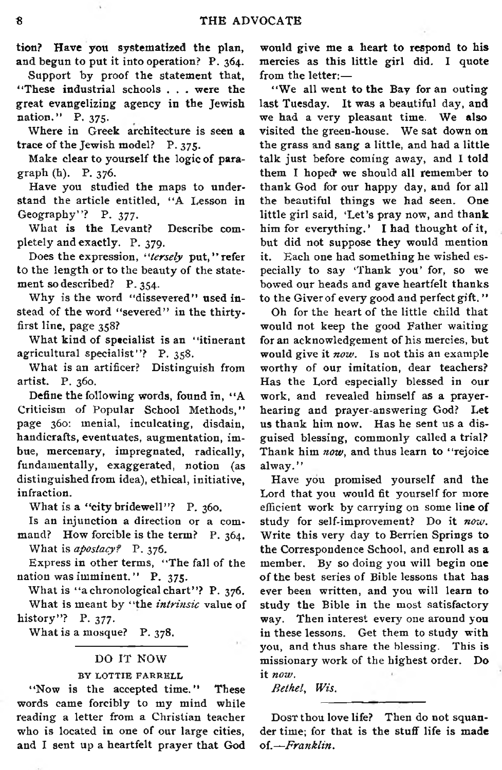tion? Have you systematized the plan, and begun to put it into operation? P. 364.

Support by proof the statement that, " These industrial schools . . . were the great evangelizing agency in the Jewish nation." P.  $375$ .

Where in Greek architecture is seen a trace of the Jewish model? P. 375.

Make clear to yourself the logic of paragraph (h). P. 376.

Have you studied the maps to understand the article entitled, "A Lesson in Geography"? P. 377.

What is the Levant? Describe completely and exactly. P. 379.

Does the expression, "tersely put," refer to the length or to the beauty of the statement so described? P. 354.

Why is the word "dissevered" used instead of the word "severed" in the thirtyfirst line, page 358?

What kind of specialist is an "itinerant agricultural specialist"? P.  $358$ .

What is an artificer? Distinguish from artist. P. 360.

Define the following words, found in, "A Criticism of Popular School Methods," page 360: menial, inculcating, disdain, handicrafts, eventuates, augmentation, imbue, mercenary, impregnated, radically, fundamentally, exaggerated, notion (as distinguished from idea), ethical, initiative, infraction.

What is a "city bridewell"? P.  $360$ .

Is an injunction a direction or a command? How forcible is the term? P. 364. W hat is *apostacy?* P. 376.

Express in other terms, "The fall of the nation was imminent." P.  $375$ .

What is "a chronological chart"? P. 376. What is meant by "the *intrinsic* value of history"? P. 377.

What is a mosque? P. 378.

#### DO IT NOW

#### BY LOTTIE FARRELL

"Now is the accepted time." These words came forcibly to my mind while reading a letter from a Christian teacher who is located in one of our large cities, and I sent up a heartfelt prayer that God would give me a heart to respond to his mercies as this little girl did. I quote from the letter:—

"We all went to the Bay for an outing last Tuesday. It was a beautiful day, and we had a very pleasant time. We also visited the green-house. We sat down on the grass and sang a little, and had a little talk just before coming away, and I told them I hoped' we should all remember to thank God for our happy day, and for all the beautiful things we had seen. One little girl said, 'Let's pray now, and thank him for everything.' I had thought of it, but did not suppose they would mention it. Each one had something he wished especially to say 'Thank you' for, so we bowed our heads and gave heartfelt thanks to the Giver of every good and perfect gift."

Oh for the heart of the little child that would not keep the good Father waiting for an acknowledgement of his mercies, but would give it *now*. Is not this an example worthy of our imitation, dear teachers? Has the Lord especially blessed in our work, and revealed him self as a prayerhearing and prayer-answering God? Let us thank him now. Has he sent us a disguised blessing, commonly called a trial? Thank him now, and thus learn to "rejoice alway.''

Have you promised yourself and the Lord that you would fit yourself for more efficient work by carrying on some line of study for self-improvement? Do it *now.* Write this very day to Berrien Springs to the Correspondence School, and enroll as a member. By so doing you will begin one of the best series of Bible lessons that has ever been written, and you will learn to study the Bible in the most satisfactory way. Then interest every one around you in these lessons. Get them to study with you, and thus share the blessing. This is missionary work of the highest order. Do it *now.*

*Bethel*, *Wis.*

Dosr thou love life? Then do not squander time; for that is the stuff life is made of.-Franklin.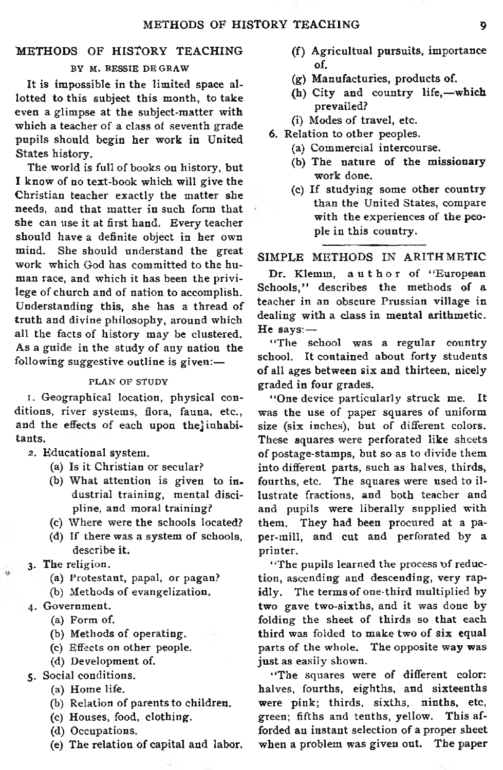#### METHODS OF HISTORY TEACHING

#### BY M. BESSIE DE GRAW

It is impossible in the limited space allotted to this subject this month, to take even a glimpse at the subject-matter with which a teacher of a class of seventh grade pupils should begin her work in United States history.

The world is full of books on history, but I know of no text-book which will give the Christian teacher exactly the matter she needs, and that matter in such form that she can use it at first hand. Every teacher should have a definite object in her own mind. She should understand the great work which God has committed to the human race, and which it has been the privilege of church and of nation to accomplish. Understanding this, she has a thread of truth and divine philosophy, around which all the facts of history may be clustered. As a guide in the study of any nation the following suggestive outline is given:-

#### PLAN OF STUDY

1. Geographical location, physical conditions, river systems, flora, fauna, etc., and the effects of each upon the linhabitants.

- 2. Educational system .
	- (a) Is it Christian or secular?
	- (b) What attention is given to industrial training, mental discipline, and moral training?
	- (c) W here were the schools located?
	- (d) If there was a system of schools, describe it.
- 3. The religion.
	- (a) Protestant, papal, or pagan?
	- (b) Methods of evangelization.
- 4. Government.
	- (a) Form of.
	- (b) Methods of operating.
	- (c) Effects on other people.
	- (d) Development of.
- 5. Social conditions.
	- (a) Home life.
	- (b) Relation of parents to children.
	- (c) Houses, food, clothing.
	- (d) Occupations.
	- (e) The relation of capital and labor.
- (f) Agricultual pursuits, importance of.
- (g) Manufacturies, products of.
- (h) City and country life,-which prevailed?
- (i) Modes of travel, etc.
- 6. Relation to other peoples.
	- (a) Commercial intercourse.
	- $(b)$  The nature of the missionary work done.
	- (c) If studying some other country than the United States, compare with the experiences of the people in this country.

SIMPLE METHODS IN ARITHMETIC

Dr. Klemm, author of "European Schools," describes the methods of a teacher in an obscure Prussian village in dealing with a class in mental arithmetic. He says: $-$ 

"The school was a regular country school. It contained about forty students of all ages between six and thirteen, nicely graded in four grades.

"One device particularly struck me. was the use of paper squares of uniform size (six inches), but of different colors. These squares were perforated like sheets of postage-stamps, but so as to divide them into different parts, such as halves, thirds, fourths, etc. The squares were used to illustrate fractions, and both teacher and and pupils were liberally supplied with them. They had been procured at a paper-mill, and cut and perforated by a printer.

"The pupils learned the process of reduction, ascending and descending, very rapidly. The terms of one-third multiplied by two gave two-sixths, and it was done by folding the sheet of thirds so that each third was folded to make two of six equal parts of the whole. The opposite way was just as easily shown.

"The squares were of different color: halves, fourths, eighths, and sixteenths were pink; thirds, sixths, ninths, etc, green; fifths and tenths, yellow. This afforded an instant selection of a proper sheet when a problem was given out. The paper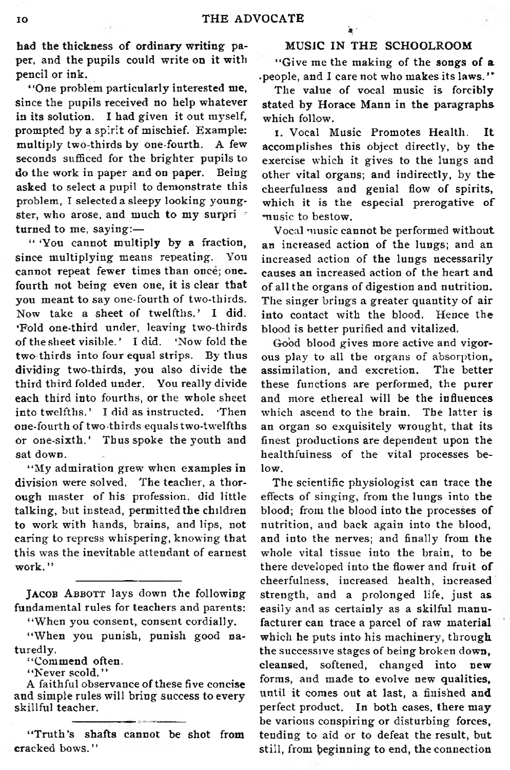had the thickness of ordinary writing paper, and the pupils could write on it with pencil or ink.

' 'One problem particularly interested me, since the pupils received no help whatever in its solution. I had given it out myself, prompted by a spirit of mischief. Example: multiply two-thirds by one-fourth. A few seconds sufficed for the brighter pupils to do the work in paper and on paper. Being asked to select a pupil to demonstrate this problem, I selected a sleepy looking youngster, who arose, and much to my surpri turned to me, saying: $-$ 

" 'You cannot multiply by a fraction, since multiplying means repeating. You cannot repeat fewer times than once; one. fourth not being even one, it is clear that you meant to say one-fourth of two-thirds. Now take a sheet of twelfths.' I did. 'Fold one-third under, leaving two-thirds of the sheet visible.' I did. 'Now fold the two thirds into four equal strips. By thus dividing two-thirds, you also divide the third third folded under. You really divide each third into fourths, or the whole sheet into twelfths.' I did as instructed. 'Then one-fourth of two-thirds equals two-twelfths or one-sixth.' Thus spoke the youth and sat down.

"My admiration grew when examples in division were solved. The teacher, a thorough master of his profession, did little talking, but instead, permitted the children to work with hands, brains, and lips, not caring to repress whispering, knowing that this was the inevitable attendant of earnest work."

"When you consent, consent cordially.

"When you punish, punish good naturedly.

"Commend often.

"Never scold."

A faithful observance of these five concise and simple rules will bring success to every skillful teacher.

"Truth's shafts cannot be shot from cracked bows. ' '

#### MUSIC IN THE SCHOOLROOM

\ '

"Give me the making of the songs of a .people, and I care not who makes its laws."

The value of vocal music is forcibly stated by Horace Mann in the paragraphs which follow.

I. Vocal Music Promotes Health. It accomplishes this object directly, by the exercise which it gives to the lungs and other vital organs; and indirectly, by the cheerfulness and genial flow of spirits, which it is the especial prerogative of music to bestow.

Vocal music cannot be performed without an increased action of the lungs; and an increased action of the lungs necessarily causes an increased action of the heart and of all the organs of digestion and nutrition. The singer brings a greater quantity of air into contact with the blood. Hence the blood is better purified and vitalized.

Good blood gives more active and vigorous play to all the organs of absorption. assimilation, and excretion. The better these functions are performed, the purer and more ethereal will be the influences which ascend to the brain. The latter is an organ so exquisitely wrought, that its finest productions are dependent upon the healthfuiness of the vital processes below.

The scientific physiologist can trace the effects of singing, from the lungs into the blood; from the blood into the processes of nutrition, and back again into the blood, and into the nerves; and finally from the whole vital tissue into the brain, to be there developed into the flower and fruit of cheerfulness, increased health, increased strength, and a prolonged life, just as easily and as certainly as a skilful manufacturer can trace a parcel of raw material which he puts into his machinery, through the successive stages of being broken down, cleansed, softened, changed into new forms, and made to evolve new qualities, until it comes out at last, a finished and perfect product. In both cases, there may be various conspiring or disturbing forces. tending to aid or to defeat the result, but still, from beginning to end, the connection

JACOB ABBOTT lays down the following fundamental rules for teachers and parents: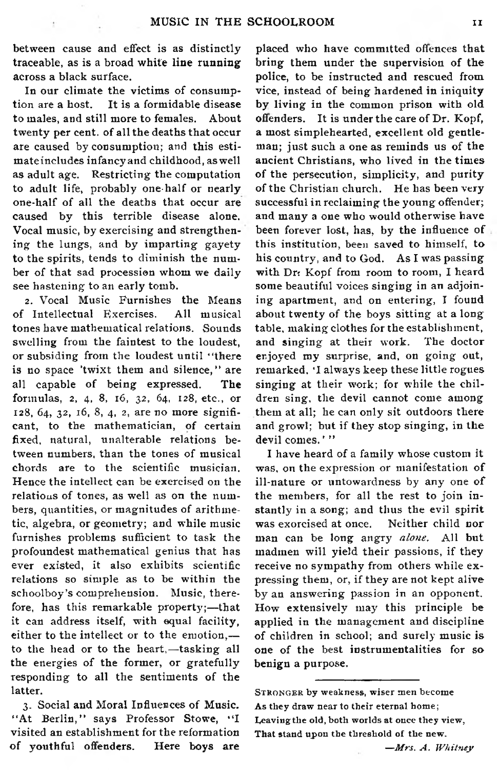between cause and effect is as distinctly traceable, as is a broad white line running across a black surface.

In our climate the victims of consumption are a host. It is a formidable disease to males, and still more to females. About twenty per cent, of all the deaths that occur are caused by consumption; and this estimate includes infancy and childhood, as well as adult age. Restricting the computation to adult life, probably one-half or nearly one-half of all the deaths that occur are caused by this terrible disease alone. Vocal music, by exercising and strengthening the lungs, and by imparting gayety to the spirits, tends to diminish the number of that sad procession whom we daily see hastening to an early tomb.

2. Vocal Music Furnishes the Means of Intellectual Exercises. All musical tones have mathematical relations. Sounds swelling from the faintest to the loudest, or subsiding from the loudest until "there is no space 'twixt them and silence," are all capable of being expressed. The form ulas, 2, 4, 8, 16, 32, 64, 128, etc., or 128, 64, 32, 16, 8, 4, 2, are no more significant, to the mathematician, of certain fixed, natural, unalterable relations between numbers, than the tones of musical chords are to the scientific musician. Hence the intellect can be exercised on the relations of tones, as well as on the numbers, quantities, or magnitudes of arithmetic, algebra, or geometry; and while music furnishes problems sufficient to task the profoundest mathematical genius that has ever existed, it also exhibits scientific relations so simple as to be within the schoolboy's comprehension. Music, therefore, has this remarkable property;--that it can address itself, with equal facility, either to the intellect or to the emotion,to the head or to the heart,—tasking all the energies of the former, or gratefully responding to all the sentiments of the latter.

3. Social and Moral Influences of Music. "At Berlin," says Professor Stowe, "I visited an establishment for the reformation of youthful offenders. Here boys are

placed who have committed offences that bring them under the supervision of the police, to be instructed and rescued from vice, instead of being hardened in iniquity by living in the common prison with old offenders. It is under the care of Dr. Kopf, a most simplehearted, excellent old gentleman; just such a one as reminds us of the ancient Christians, who lived in the times of the persecution, simplicity, and purity of the Christian church. He has been very successful in reclaiming the young offender; and many a one who would otherwise have been forever lost, has, by the influence of this institution, been saved to him self, to his country, and to God. As I was passing with Dr: Kopf from room to room, I heard some beautiful voices singing in an adjoining apartment, and on entering, I found about twenty of the boys sitting at a long table, making clothes for the establishment, and singing at their work. The doctor enjoyed my surprise, and, on going out, remarked, 'I always keep these little rogues singing at their work; for while the children sing, the devil cannot come among them at all; he can only sit outdoors there and growl; but if they stop singing, in the devil comes.'"

I have heard of a family whose custom it was, on the expression or manifestation of ill-nature or untowardness by any one of the members, for all the rest to join in stantly in a song; and thus the evil spirit was exorcised at once. Neither child nor man can be long angry *alone*. All but madmen will yield their passions, if they receive no sympathy from others while expressing them, or, if they are not kept alive by an answering passion in an opponent. How extensively may this principle be applied in the management and discipline of children in school; and surely music is one of the best instrumentalities for so benign a purpose.

— *Mrs. A . W hitney*

STRONGER by weakness, wiser men become As they draw near to their eternal home; Leaving the old, both worlds at once they view, That stand upon the threshold of the new.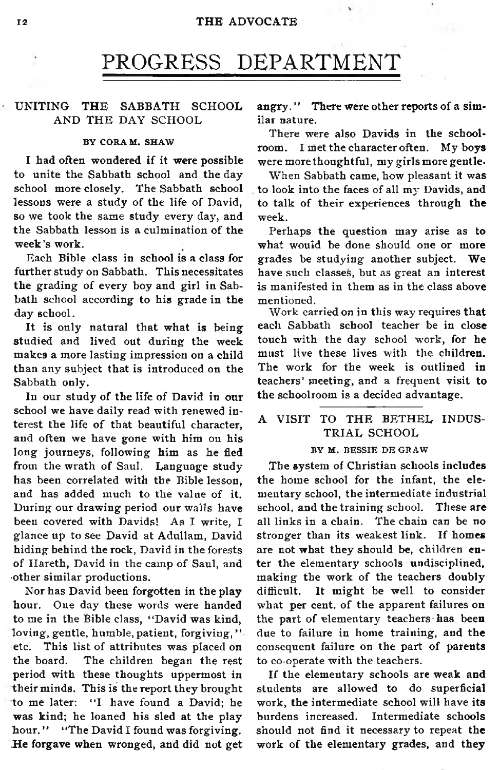## PROGRESS DEPARTMENT

#### UNITING THE SABBATH SCHOOL AND THE DAY SCHOOL

#### BY CORAM. SHAW

I had often wondered if it were possible to unite the Sabbath school and the day school more closely. The Sabbath school lessons were a study of the life of David, so we took the same study every day, and the Sabbath lesson is a culmination of the week's work.

Each Bible class in school is a class for further study on Sabbath. This necessitates the grading of every boy and girl in Sabbath school according to his grade in the day school.

It is only natural that what is being studied and lived out during the week makes a more lasting impression on a child than any subject that is introduced on the Sabbath only.

In our study of the life of David in our school we have daily read with renewed interest the life of that beautiful character, and often we have gone with him on his long journeys, following him as he fled from the wrath of Saul. Language study has been correlated with the Bible lesson, and has added much to the value of it. During our drawing period our walls have been covered with Davids! As I write, I glance up to see David at Adullam, David hiding behind the rock, David in the forests of Hareth, David in the camp of Saul, and other similar productions.

Nor has David been forgotten in the play hour. One day these words were handed to me in the Bible class, "David was kind, loving, gentle, humble, patient, forgiving," etc. This list of attributes was placed on the board. The children began the rest period with these thoughts uppermost in their minds. This is the report they brought to me later: "I have found a David; he was kind; he loaned his sled at the play hour." "The David I found was forgiving. He forgave when wronged, and did not get angry." There were other reports of a similar nature.

There were also Davids in the schoolroom. I met the character often. My boys were more thoughtful, my girls more gentle.

When Sabbath came, how pleasant it was to look into the faces of all my Davids, and to talk of their experiences through the week.

Perhaps the question may arise as to what would be done should one or more grades be studying another subject. We have such classes, but as great an interest is manifested in them as in the class above mentioned.

Work carried on in this way requires that each Sabbath school teacher be in close touch with the day school work, for he must live these lives with the children. The work for the week is outlined in teachers' meeting, and a frequent visit to the schoolroom is a decided advantage.

#### A VISIT TO THE BETHEL INDUS-TRIAL SCHOOL

#### BY M. BESSIE DE GRAW

The system of Christian schools includes the home school for the infant, the elementary school, the intermediate industrial school, and the training school. These are all links in a chain. The chain can be no stronger than its weakest link. If homes are not what they should be, children enter the elementary schools undisciplined, making the work of the teachers doubly difficult. It might be well to consider what per cent. of the apparent failures on the part of elementary teachers has been due to failure in home training, and the consequent failure on the part of parents to co-operate with the teachers.

If the elementary schools are weak and students are allowed to do superficial work, the intermediate school will have its burdens increased. Intermediate schools should not find it necessary to repeat the work of the elementary grades, and they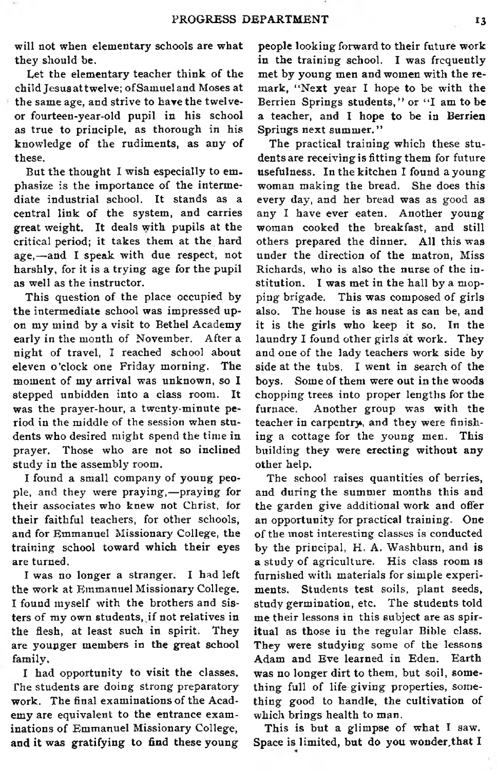will not when elementary schools are what they should be.

Let the elementary teacher think of the child Jesus at twelve; of Samuel and Moses at the same age, and strive to have the twelveor fourteen-year-old pupil in his school as true to principle, as thorough in his knowledge of the rudiments, as any of these.

But the thought I wish especially to emphasize is the importance of the intermediate industrial school. It stands as a central link of the system, and carries great weight. It deals with pupils at the critical period; it takes them at the hard age,-and I speak with due respect, not harshly, for it is a trying age for the pupil as well as the instructor.

This question of the place occupied by the intermediate school was impressed upon my mind by a visit to Bethel Academy early in the month of November. After a night of travel, I reached school about eleven o'clock one Friday morning. The moment of my arrival was unknown, so I stepped unbidden into a class room. It was the praver-hour, a twenty-minute period in the middle of the session when students who desired might spend the time in prayer. Those who are not so inclined study in the assembly room.

I found a small company of young people, and they were praying,—praying for their associates who knew not Christ, for their faithful teachers, for other schools, and for Emmanuel Missionary College, the training school toward which their eyes are turned.

I was no longer a stranger. I had left the work at Emmanuel Missionary College. I found myself with the brothers and sisters of my own students, if not relatives in the flesh, at least such in spirit. They are younger members in the great school family.

I had opportunity to visit the classes. The students are doing strong preparatory work. The final examinations of the Academy are equivalent to the entrance examinations of Emmanuel Missionary College, and it was gratifying to find these young

people looking forward to their future work in the training school. I was frequently met by young men and women with the remark, "Next year I hope to be with the Berrien Springs students," or "I am to be a teacher, and I hope to be in Berrien Springs next summer."

The practical training which these students are receiving is fitting them for future usefulness. In the kitchen I found a young woman making the bread. She does this every day, and her bread was as good as any I have ever eaten. Another young woman cooked the breakfast, and still others prepared the dinner. All this was under the direction of the matron. Miss Richards, who is also the nurse of the institution. I was met in the hall by a mopping brigade. This was composed of girls also. The house is as neat as can be, and it is the girls who keep it so. In the laundry I found other girls at work. They and one of the lady teachers work side by side at the tubs. I went in search of the boys. Some of them were out in the woods chopping trees into proper lengths for the furnace. Another group was with the teacher in carpentry, and they were finishing a cottage for the young men. This building they were erecting without any other help.

The school raises quantities of berries, and during the summer months this and the garden give additional work and offer an opportunity for practical training. One o f the most interesting classes is conducted by the principal, H. A. Washburn, and is a study of agriculture. His class room is furnished with materials for simple experiments. Students test soils, plant seeds, study germination, etc. The students told me their lessons in this subject are as spiritual as those in the regular Bible class. They were studying some of the lessons Adam and Eve learned in Eden. Earth was no longer dirt to them, but soil, something full of life-giving properties, something good to handle, the cultivation of which brings health to man.

This is but a glimpse of what I saw. Space is limited, but do you wonder, that I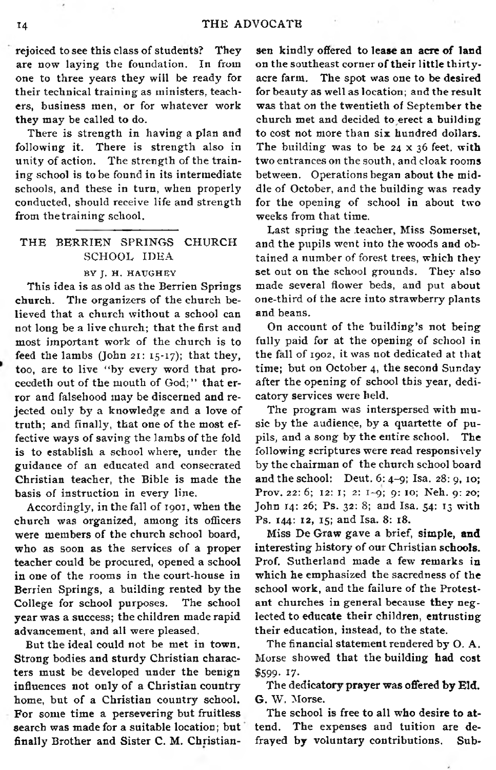rejoiced to see this class of students? They are now laying the foundation. In from one to three years they will be ready for their technical training as ministers, teachers, business men, or for whatever work they may be called to do.

There is strength in having a plan and following it. There is strength also in unity of action. The strength of the training school is to be found in its intermediate schools, and these in turn, when properly conducted, should receive life and strength from the training school.

#### THE BERRIEN SPRINGS CHURCH SCHOOL IDEA

#### BY J. H. HAUGHEY

This idea is as old as the Berrien Springs church. The organizers of the church believed that a church without a school can not long be a live church; that the first and most important work of the church is to feed the lambs (John 21:  $15-17$ ); that they, too, are to live "by every word that proceedeth out of the mouth of God;" that error and falsehood may be discerned and rejected only by a knowledge and a love of truth; and finally, that one of the most effective ways of saving the lambs of the fold is to establish a school where, under the guidance of an educated and consecrated Christian teacher, the Bible is made the basis of instruction in every line.

Accordingly, in the fall of 1901, when the church was organized, among its officers were members of the church school board. who as soon as the services of a proper teacher could be procured, opened a school in one of the rooms in the court-house in Berrien Springs, a building rented by the College for school purposes. The school year was a success; the children made rapid advancement, and all were pleased.

But the ideal could not be met in town. Strong bodies and sturdy Christian characters must be developed under the benign influences not only of a Christian country home, but of a Christian country school. For some time a persevering but fruitless search was made for a suitable location; but finally Brother and Sister C. M. Christiansen kindly offered to lease an acre of land on the southeast corner of their little thirtyacre farm. The spot was one to be desired for beauty as well as location; and the result was that on the twentieth of September the church met and decided to erect a building to cost not more than six hundred dollars. The building was to be  $24 \times 36$  feet, with two entrances on the south, and cloak rooms between. Operations began about the middle of October, and the building was ready for the opening of school in about two weeks from that time.

Last spring the teacher, Miss Somerset, and the pupils went into the woods and obtained a number of forest trees, which they set out on the school grounds. They also made several flower beds, and put about one-third of the acre into strawberry plants and beans.

On account of the building's not being fully paid for at the opening of school in the fall of 1902, it was not dedicated at that time; but on October 4, the second Sunday after the opening of school this year, dedicatory services were held.

The program was interspersed with music by the audience, by a quartette of pupils, and a song by the entire school. The following scriptures were read responsively by the chairman of the church school board and the school: Deut.  $6: 4-9$ ; Isa.  $28: 9$ , 10; Prov. 22: 6; 12: 1; 2: 1-9; 9: 10; Neh. 9: 20; John 14: 26; Ps. 32: 8; and Isa. 54: 13 with Ps. 144: 12, 15; and Isa. 8: 18.

Miss De Graw gave a brief, simple, and interesting history of our Christian schools. Prof. Sutherland made a few remarks in which he emphasized the sacredness of the school work, and the failure of the Protestant churches in general because they neglected to educate their children, entrusting their education, instead, to the state.

The financial statement rendered by O. A. Morse showed that the building had cost \$599.17.

The dedicatory prayer was offered by Eld. G. W. Morse.

The school is free to all who desire to attend. The expenses and tuition are defrayed by voluntary contributions. Sub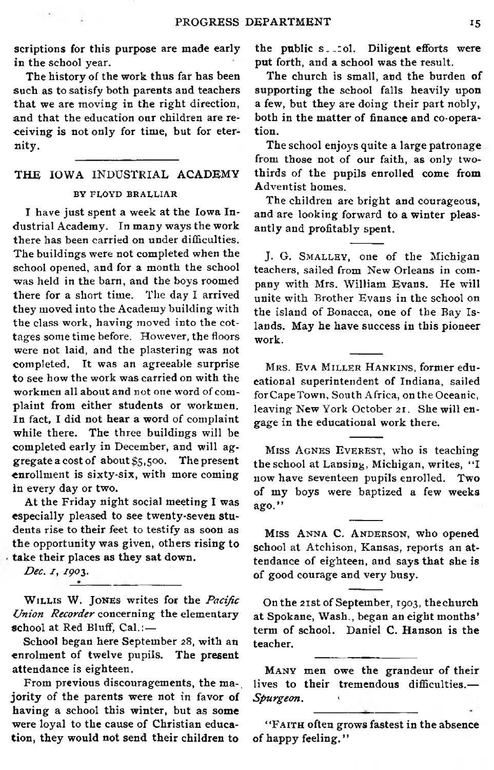scriptions for this purpose are made early in the school year.

The history of the work thus far has been such as to satisfy both parents and teachers that we are moving in the right direction, and that the education our children are receiving is not only for time, but for eternity.

#### THE IOWA INDUSTRIAL ACADEMY BY FLOYD BRALLIAR

I have just spent a week at the Iowa Industrial Academy. In many ways the work there has been carried on under difficulties. The buildings were not completed when the school opened, and for a month the school was held in the barn, and the boys roomed there for a short time. The day I arrived they moved into the Academy building with the class work, having moved into the cottages some time before. However, the floors were not laid, and the plastering was not com pleted. It was an agreeable surprise to see how the work was carried on with the workmen all about and not one word of complaint from either students or workmen. In fact, I did not hear a word of complaint while there. The three buildings will be completed early in December, and will aggregate a cost of about  $$5,500$ . The present enrollment is sixty-six, with more coming in every day or two.

At the Friday night social meeting I was especially pleased to see twenty-seven students rise to their feet to testify as soon as the opportunity was given, others rising to take their places as they sat down.

*Dec. 1, 190\$.*

WILLIS W. JONES writes for the *Pacific* Union Recorder concerning the elementary school at Red Bluff, Cal.:-

School began here September 28, with an enrolment of twelve pupils. The present attendance is eighteen.

From previous discouragements, the ma-. jority of the parents were not in favor of having a school this winter, but as some were loyal to the cause of Christian education, they would not send their children to

the public s. tol. Diligent efforts were put forth, and a school was the result.

The church is small, and the burden of supporting the school falls heavily upon a few, but they are doing their part nobly, both in the matter of finance and co-operation.

The school enjoys quite a large patronage from those not of our faith, as only twothirds of the pupils enrolled come from Adventist homes.

The children are bright and courageous, and are looking forward to a winter pleasantly and profitably spent.

J. G. SMALLEY, one of the Michigan teachers, sailed from New Orleans in company with Mrs. William Evans. He will unite with Brother Evans in the school on the island of Bonacca, one of the Bay Islands. May he have success in this pioneer work.

MRS. EVA MILLER HANKINS, former educational superintendent of Indiana, sailed for Cape Town, South Africa, on the Oceanic, leaving New York October 21. She will engage in the educational work there.

MISS AGNES EVEREST, who is teaching the school at Lansing, Michigan, writes, "I now have seventeen pupils enrolled. Two of my boys were baptized a few weeks ago."

MISS ANNA C. ANDERSON, who opened school at Atchison, Kansas, reports an attendance of eighteen, and says that she is of good courage and very busy.

On the 21st of September, 1903, the church at Spokane, Wash., began an eight months' term of school. Daniel C. Hanson is the teacher.

MANY men owe the grandeur of their lives to their tremendous difficulties.—  $S<sub>pureon</sub>$ .

"FAITH often grows fastest in the absence of happy feeling."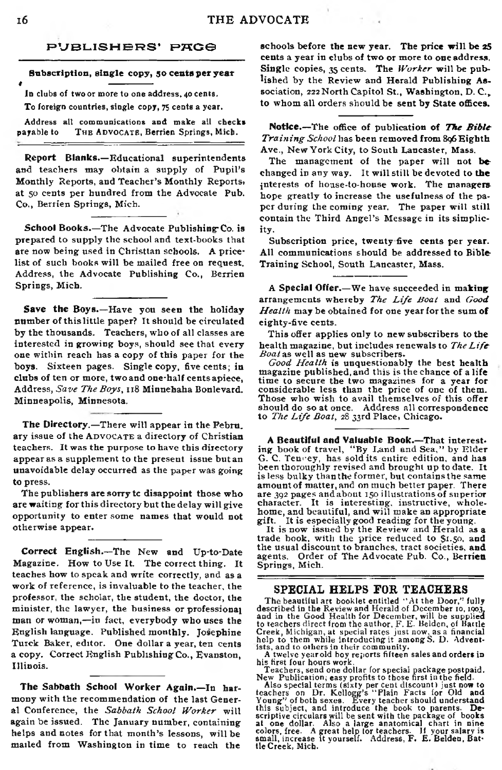#### PUBLISHERS' PAGG

**Subscription, single copy, 50 cents per year**

*t* In clubs of two or more to one address, 40 cents. To foreign countries, single copy, 75 cents a year.

Address all communications and make all checks payable to THE ADVOCATE, Berrien Springs, Mich.

Report Blanks.-Educational superintendents and teachers may obtain a supply of Pupil's Monthly Reports, and Teacher's Monthly Reports, at 50 cents per hundred from the Advocate Pub. Co., Berrien Springs, Mich.

**School Books.**—The Advocate Publishing Co. is prepared to supply the school and text-books that are now being used in Christtan schools. A pricelist of such books will be mailed free on request. Address, the Advocate Publishing Co., Berrien Springs, Mich.

Save the Boys.-Have you seen the holiday number of this little paper? It should be circulated by the thousands. Teachers, who of all classes are interested in growing boys, should see that every one within reach has a copy of this paper for the boys. Sixteen pages. Single copy, five cents; in clubs of ten or more, two and one-half cents apiece, Address, Save The Boys, 118 Minnehaha Bonlevard. Minneapolis, Minnesota.

The Directory.—There will appear in the Febru. ary issue of the ADVOCATE a directory of Christian teachers. It was the purpose to have this directory appear as a supplement to the present issue but an unavoidable delay occurred as the paper was going to press.

The publishers are sorry te disappoint those who are waiting for this directory but the delay will give opportunity to enter some names that would not otherwise appear.

Correct English.-The New and Up-to-Date Magazine. How to Use It. The correct thing. It teaches how to speak and write correctly, and as a work of reference, is invaluable to the teacher, the professor, the scholar, the student, the doctor, the minister, the lawyer, the business or professional man or woman,—in fact, everybody who uses the English language. Published monthly. Josephine Turck Baker, editor. One dollar a year, ten cents a copy. Correct English Publishing Co., Evanston, Illinois.

The Sabbath School Worker Again.-In harmony with the recommendation of the last General Conference, the *Sabbath School Worker* will again be issued. The January number, containing helps and notes for that month's lessons, will be mailed from Washington in time to reach the

schools before the new year. The price will be 25 cents a year in clubs of two or more to one address. Single copies, 35 cents. The *Worker* will be published by the Review and Herald Publishing Association, 222 North Capitol St., Washington, D.C., to whom all orders should be sent by State offices.

Notice.-The office of publication of *The Bible Training School* has been removed from 806 Eighth Ave., New York City, to South Lancaster, Mass.

The management of the paper will not bechanged in any way. It will still be devoted to the interests of house-to-house work. The managers hope greatly to increase the usefulness of the paper during the coming year. The paper will still contain the Third Angel's Message in its simplicity.

Subscription price, twenty five cents per year. All communications should be addressed to Bible Training School, South Lancaster, Mass.

A Special Offer.-We have succeeded in making arrangements whereby *The Life Boat* and *Good* Health may be obtained for one year for the sum of eighty-five cents.

This offer applies only to new subscribers to the health magazine, but includes renewals to *The Life Boat* as well as new subscribers.

Good Health is unquestionably the best health magazine published, and this is the chance of a life time to secure the two magazines for a year for considerable less than the price of one of them.<br>Those who wish to avail themselves of this offer should do so at once. Address all correspondence to *The Life Boat*, 28 33rd Place, Chicago.

**A Beautiful and Valuable Book.—That interest-**<br>ing book of travel, "By Land and Sea," by Elder G. C. Tenery, has sold its entire edition, and has been thoroughly revised and brought up to date. It is less bulky than the former, but contains the same amount of matter, and on much better paper. There are 392 pages and about 150 illustrations of superior character. It is interesting, instructive, whole-<br>home, and beautiful, and will make an appropriate gift. It is especially good reading for the young.

It is now issued by the Review and Herald as a trade book, with the price reduced to \$1.50, and the usual discount to branches, tract societies, and agents. Order of The Advocate Pub. Co., Berrien Springs, Mich.

#### **SPECIAL HELPS FOR TEACHERS**

The beautiful art booklet entitled "At the Door," fully<br>described in the Review and Herald of December to, 1903,<br>and in the Good Health for December, will be supplied<br>to teachers direct from the author, F. E. Belden, of B

A twelve yearold boy reports fifteen sales and orders in his first four hours work.

Teachers, send one dollar for special package postpaid.<br>New Publication, easy profits to those first in the field.<br>Also special terms (sixty per cent discount) just now to<br>teachers on Dr. Kellogg's "Plain Facts for Old and at one dollar. Also a large anatomical chart in nine<br>colors, free. A great help tor teachers. If your salary is<br>small, increase it yourself. Address, F. E. Belden, Battle Creek, Mich.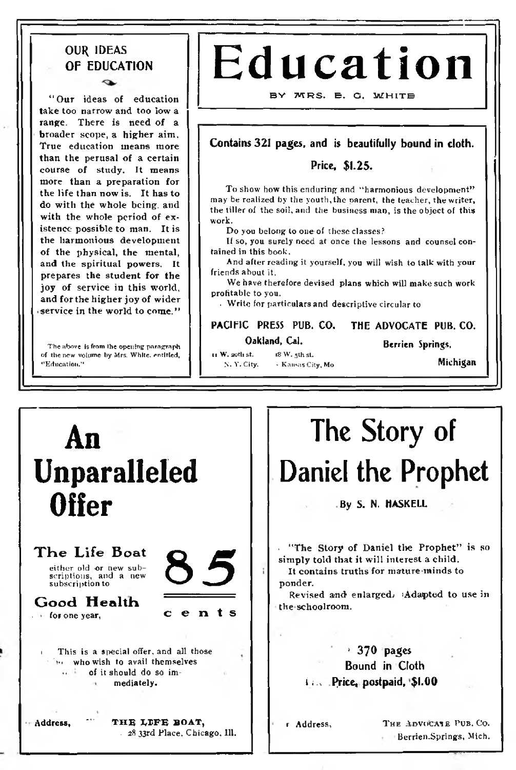#### OUR IDEAS OF EDUCATION

**" Our ideas of education take too narrow and too low a range. There is need of a broader scope, a higher aim. True education means more than the perusal of a certain course of study. It means more than a preparation for the life than now is. It has to do with the whole being, and with the whole period of existence possible to man. It is the harmonious development of the physical, the mental, and the spiritual powers. It prepares the student for the joy of service in this world, and for the higher joy of wider • service in the world to come."**

The above is from the opening paragraph of the new volume by Mrs. W hite, entitled, ''E ducation."

# **Education**

#### **B Y M R S . E . G . W H I T E**

#### Contains 321 pages, and is beautifully bound in cloth.

#### Price, \$1.25.

To show how this enduring and "harmonious development" may be realized by the youth, the parent, the teacher, the writer, the tiller of the soil, and the business man, is the object of this work.

Do you belong to one of these classes?

If so, you surely need at once the lessons and counsel contained in this book.

And after reading it yourself, you will wish to talk with your friends about it.

We have therefore devised plans which will make such work profitable to you.

. W rite for particulars and descriptive circular to

#### PACIFIC PRESS PUB. CO. Oakland, Cal. THE ADVOCATE PUB. CO.

ti W. 20th st.  $\qquad$  i8 W. 5th st.<br>N. Y. City.  $\qquad$  Kansas Cit

Berrien Springs,

Nichigan Michigan

An Unparalleled Offer The Life Boat either old or new sub-<br>scriptions, and a new<br>subscription to Good **Health** . > fop one year, This is a special offer, and all those •• who wish to avail themselves of it should do so immediately. Address, THE LIFE BOAT, . <sup>28</sup> <sup>33</sup>rd Place. Chicago, 111. **65** c en ts **ponder. theschoolroom.**

## The Story of Daniel the Prophet

By S. N. HASKELL

**• "The Story of Daniel the Prophet" is so simply told that it will interest a child.**

**It contains truths for mature-minds to**

**Revised and enlarged; 'Adapted to use in**

#### $+370$  pages Bound in Cloth i:... Price, postpaid, \$1.00

r Address, THE ADVOCATE PUB. CO. Berrien.Springs, Mich.